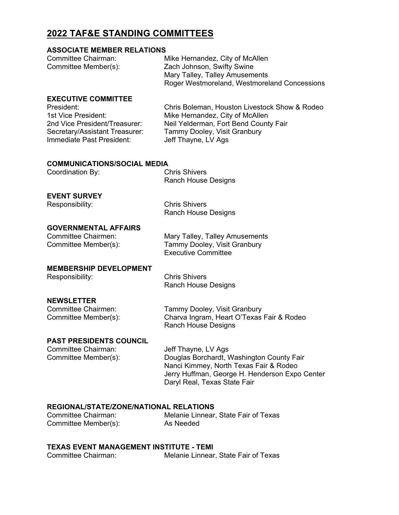### **2022 TAF&E STANDING COMMITTEES**

#### **ASSOCIATE MEMBER RELATIONS**

| Committee Chairman:  | Mike Hernandez, City of McAllen              |
|----------------------|----------------------------------------------|
| Committee Member(s): | Zach Johnson, Swifty Swine                   |
|                      | Mary Talley, Talley Amusements               |
|                      | Roger Westmoreland, Westmoreland Concessions |

#### **EXECUTIVE COMMITTEE**

Secretary/Assistant Treasurer: Tammy Dooley, Visit Granbury<br>Immediate Past President: Jeff Thayne, LV Ags Immediate Past President:

President: Chris Boleman, Houston Livestock Show & Rodeo 1st Vice President: Mike Hernandez, City of McAllen<br>2nd Vice President/Treasurer: Neil Yelderman. Fort Bend County Neil Yelderman, Fort Bend County Fair

#### **COMMUNICATIONS/SOCIAL MEDIA**

| Coordination By: | <b>Chris Shivers</b>       |
|------------------|----------------------------|
|                  | <b>Ranch House Designs</b> |

#### **EVENT SURVEY**

Responsibility: Chris Shivers Ranch House Designs

# **GOVERNMENTAL AFFAIRS**

Mary Talley, Talley Amusements Committee Member(s): Tammy Dooley, Visit Granbury Executive Committee

#### **MEMBERSHIP DEVELOPMENT**

Responsibility: Chris Shivers

Ranch House Designs

### **NEWSLETTER**

| Committee Chairmen:  | Tammy Dooley, Visit Granbury              |
|----------------------|-------------------------------------------|
| Committee Member(s): | Charva Ingram, Heart O'Texas Fair & Rodeo |
|                      | Ranch House Designs                       |

# **PAST PRESIDENTS COUNCIL**<br>Committee Chairman:

Jeff Thayne, LV Ags Committee Member(s): Douglas Borchardt, Washington County Fair Nanci Kimmey, North Texas Fair & Rodeo Jerry Huffman, George H. Henderson Expo Center Daryl Real, Texas State Fair

# **REGIONAL/STATE/ZONE/NATIONAL RELATIONS**

Committee Member(s):

Melanie Linnear, State Fair of Texas<br>As Needed

# **TEXAS EVENT MANAGEMENT INSTITUTE - TEMI**<br>Committee Chairman: Melanie Linnear

Melanie Linnear, State Fair of Texas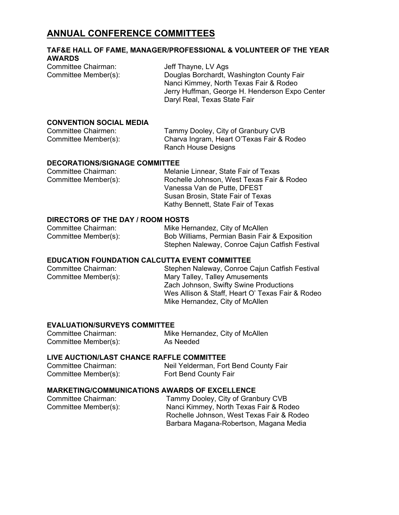### **ANNUAL CONFERENCE COMMITTEES**

### **TAF&E HALL OF FAME, MANAGER/PROFESSIONAL & VOLUNTEER OF THE YEAR AWARDS**

Committee Chairman: Jeff Thayne, LV Ags<br>
Committee Member(s): Douglas Borchardt, V Douglas Borchardt, Washington County Fair Nanci Kimmey, North Texas Fair & Rodeo Jerry Huffman, George H. Henderson Expo Center Daryl Real, Texas State Fair

#### **CONVENTION SOCIAL MEDIA**

| Committee Chairmen:  | Tammy Dooley, City of Granbury CVB        |
|----------------------|-------------------------------------------|
| Committee Member(s): | Charva Ingram, Heart O'Texas Fair & Rodeo |
|                      | Ranch House Designs                       |

#### **DECORATIONS/SIGNAGE COMMITTEE**

| Committee Chairman:  | Melanie Linnear, State Fair of Texas      |
|----------------------|-------------------------------------------|
| Committee Member(s): | Rochelle Johnson, West Texas Fair & Rodeo |
|                      | Vanessa Van de Putte, DFEST               |
|                      | Susan Brosin, State Fair of Texas         |
|                      | Kathy Bennett, State Fair of Texas        |

#### **DIRECTORS OF THE DAY / ROOM HOSTS**

| Committee Chairman:  | Mike Hernandez, City of McAllen                |
|----------------------|------------------------------------------------|
| Committee Member(s): | Bob Williams, Permian Basin Fair & Exposition  |
|                      | Stephen Naleway, Conroe Cajun Catfish Festival |

#### **EDUCATION FOUNDATION CALCUTTA EVENT COMMITTEE**

| Committee Chairman:  | Stephen Naleway, Conroe Cajun Catfish Festival   |
|----------------------|--------------------------------------------------|
| Committee Member(s): | Mary Talley, Talley Amusements                   |
|                      | Zach Johnson, Swifty Swine Productions           |
|                      | Wes Allison & Staff, Heart O' Texas Fair & Rodeo |
|                      | Mike Hernandez, City of McAllen                  |
|                      |                                                  |

#### **EVALUATION/SURVEYS COMMITTEE**

| Committee Chairman:  | Mike Hernandez, City of McAllen |
|----------------------|---------------------------------|
| Committee Member(s): | As Needed                       |

#### **LIVE AUCTION/LAST CHANCE RAFFLE COMMITTEE**

| Committee Chairman:  | Neil Yelderman, Fort Bend County Fair |
|----------------------|---------------------------------------|
| Committee Member(s): | Fort Bend County Fair                 |

#### **MARKETING/COMMUNICATIONS AWARDS OF EXCELLENCE**

| Committee Chairman:  | Tammy Dooley, City of Granbury CVB        |
|----------------------|-------------------------------------------|
| Committee Member(s): | Nanci Kimmey, North Texas Fair & Rodeo    |
|                      | Rochelle Johnson, West Texas Fair & Rodeo |
|                      | Barbara Magana-Robertson, Magana Media    |